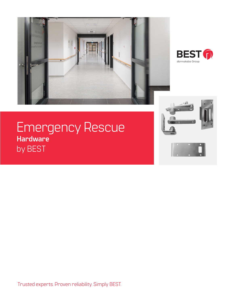



# Emergency Rescue **Hardware** by BEST





Trusted experts. Proven reliability. Simply BEST.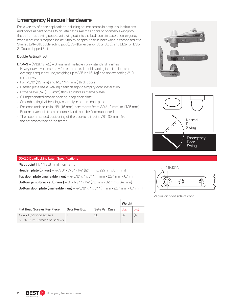# **Emergency Rescue Hardware**

For a variety of door applications including patient rooms in hospitals, institutions, and convalescent homes to private baths. Permits doors to normally swing into the bath, thus saving space, yet swing out into the bedroom, in case of emergency when a patient is trapped inside. Stanley hospital rescue hardware is composed of a Stanley DAP-3 (Double acting pivot), ES-1 (Emergency Door Stop), and DLS-1 or DSL-2 (Double Lipped Strike).

### **Double Acting Pivot**

**DAP–3** – (ANSI A2742) – Brass and mallable iron – standard finishes

- Heavy duty pivot assembly for commercial double acting interior doors of average frequency use, weighing up to 135 lbs. (61 Kg) and not exceeding 3' (91 mm) in width
- For 1-3/8" (35 mm) and 1-3/4" (44 mm) thick doors
- Header plate has a walking beam design to simplify door installation
- Extra heavy 1/4" (6.35 mm) thick solid brass frame plates
- Oil impregnated bronze bearing in top door plate
- Smooth acting ball bearing assembly in bottom door plate
- For door undercuts in 1/16" (1.6 mm) increments from 3/4" (19 mm) to 1" (25 mm)
- Bottom bracket is frame mounted and must be floor supported
- The recommended positioning of the door is to inset it 1/8" (3.2 mm) from the bathroom face of the frame





### **65KL5 Deadlocking Latch Specifications**

**Pivot point** 1-1/4" (31.8 mm) from jamb

**Header plate (brass)** – .4-7/8" x 7/8" x 1/4" (124 mm x 22 mm x 6.4 mm) **Top door plate (malleable iron)**  $-$  4-3/8" x 1" x 1/4" (111 mm x 25.4 mm x 6.4 mm) **Bottom jamb bracket (brass)** – .3" x 1-1/4" x 1/4" (76 mm x 32 mm x 6.4 mm) **Bottom door plate (malleable iron)** – .4-3/8" x 1" x 1/4" (111 mm x 25.4 mm x 6.4 mm)

|                                      |              |                      | Weight |      |
|--------------------------------------|--------------|----------------------|--------|------|
| <b>Flat Head Screws Per Piece</b>    | Sets Per Box | <b>Sets Per Case</b> | l hs   | [Kn] |
| $4-14 \times 11/2$ wood screws       |              | 20                   | 37     |      |
| $5-1/4-20 \times 1/2$ machine screws |              |                      |        |      |



Radius on pivot side of door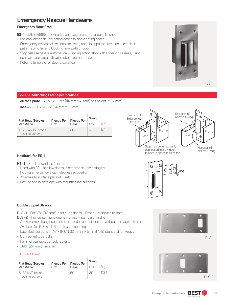# **Emergency Rescue Hardware**

### **Emergency Door Stop**

**ES–1** – (ANSI A1882) – Extruded and cast brass – standard finishes

- For converting double acting doors to single acting doors
- Emergency release allows door to swing open in opposite direction to reach ill patients who fall and block normal path of door
- Stop release resets automatically. Spring action stop, with finger-tip release, using pullman-type latch bolt with rubber bumper insert
- Refer to template for door clearance



**Surface plate** – 4-1/2" x 1-5/8" (114 mm x 41 mm) bolt height 2" (51 mm)

**Case –** 2-1/8" x 1-5/16" (54 mm x 33 mm)

| <b>Flat Head Screws</b>                      | Pieces Per   Pieces Per<br>Box | Case | Weight |   |
|----------------------------------------------|--------------------------------|------|--------|---|
| Per Piece                                    |                                |      | l hs   |   |
| $4-12-24 \times 1/2$ brass<br>machine screws |                                | RN   |        | R |



**HB–1** – Steel – standard finishes

- Used with ES–1 to allow doors to become double acting by holding emergency stop in depressed position
- Attaches to surface plate of ES–1
- Packed one in envelope with mounting instructions

#### **Double Lipped Strikes**

**DLS–1** – For 1/8" (3.2 mm) Inset hung doors – Brass – standard finishes

- **DLS–2**  For center hung doors Brass standard finishe
- Allows center hung doors to be opened in both directions without damage to frame
- Available for 5-3/4" (146 mm) cased openings
- Latch bolt cut out is 1-1/4" x 11/16" ( 32 mm x 17.5 mm) ANSI standard for Heavy
- Duty bored type locks.
- For mortise locks consult factory.
- .093" (2.4 mm) material

#### DLS– & DLS–2

| <b>Flat Head Screws</b>                   | Pieces Per<br>Box | <b>Pieces Per</b><br>Case | Weight |       |
|-------------------------------------------|-------------------|---------------------------|--------|-------|
| Per Piece                                 |                   |                           | l hs   | (Ka)  |
| $8-32 \times 1/2$ brass<br>machine screws |                   | 50                        | .36    | [136] |











ES–1